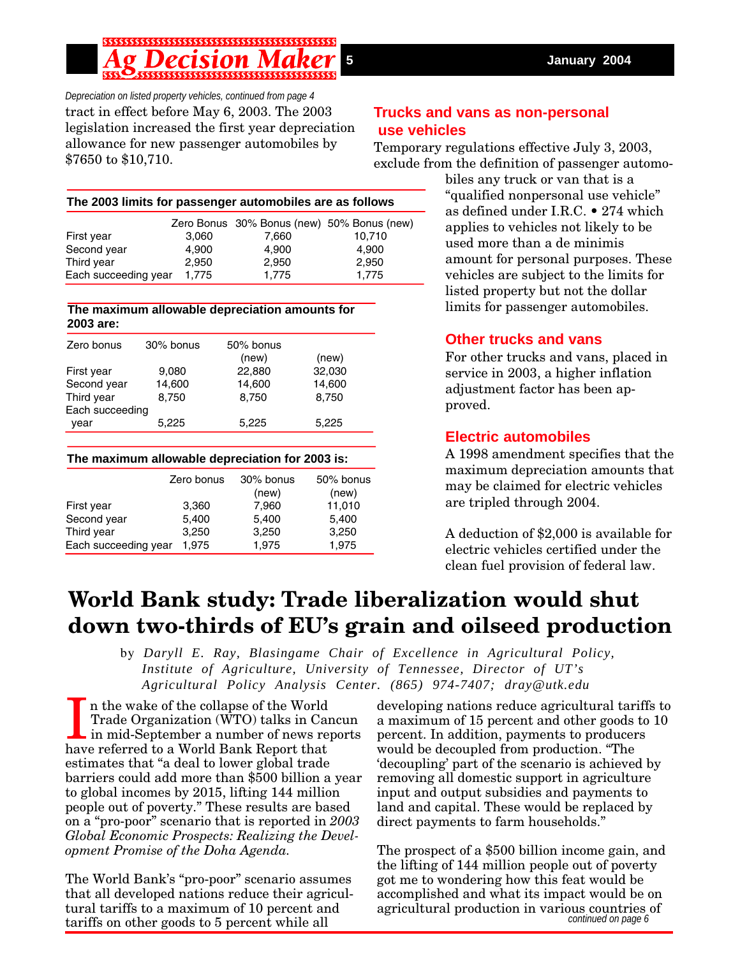*Depreciation on listed property vehicles, continued from page 4* tract in effect before May 6, 2003. The 2003 legislation increased the first year depreciation allowance for new passenger automobiles by \$7650 to \$10,710.

# **Trucks and vans as non-personal use vehicles**

Temporary regulations effective July 3, 2003, exclude from the definition of passenger automo-

| The 2003 limits for passenger automobiles are as follows |  |
|----------------------------------------------------------|--|
|----------------------------------------------------------|--|

|                      |       | Zero Bonus 30% Bonus (new) 50% Bonus (new) |        |
|----------------------|-------|--------------------------------------------|--------|
| First year           | 3.060 | 7.660                                      | 10,710 |
| Second year          | 4.900 | 4.900                                      | 4.900  |
| Third year           | 2.950 | 2.950                                      | 2.950  |
| Each succeeding year | 1.775 | 1.775                                      | 1.775  |

#### **The maximum allowable depreciation amounts for 2003 are:**

| Zero bonus      | 30% bonus | 50% bonus |        |
|-----------------|-----------|-----------|--------|
|                 |           | (new)     | (new)  |
| First year      | 9,080     | 22,880    | 32,030 |
| Second year     | 14,600    | 14,600    | 14,600 |
| Third year      | 8,750     | 8,750     | 8,750  |
| Each succeeding |           |           |        |
| year            | 5,225     | 5,225     | 5,225  |

### **The maximum allowable depreciation for 2003 is:**

|                      | Zero bonus | 30% bonus<br>(new) | 50% bonus<br>(new) |
|----------------------|------------|--------------------|--------------------|
| First year           | 3,360      | 7,960              | 11,010             |
| Second year          | 5,400      | 5,400              | 5,400              |
| Third year           | 3,250      | 3,250              | 3,250              |
| Each succeeding year | 1.975      | 1,975              | 1,975              |

biles any truck or van that is a "qualified nonpersonal use vehicle" as defined under I.R.C. • 274 which applies to vehicles not likely to be used more than a de minimis amount for personal purposes. These vehicles are subject to the limits for listed property but not the dollar limits for passenger automobiles.

## **Other trucks and vans**

For other trucks and vans, placed in service in 2003, a higher inflation adjustment factor has been approved.

# **Electric automobiles**

A 1998 amendment specifies that the maximum depreciation amounts that may be claimed for electric vehicles are tripled through 2004.

A deduction of \$2,000 is available for electric vehicles certified under the clean fuel provision of federal law.

# **World Bank study: Trade liberalization would shut down two-thirds of EU's grain and oilseed production**

by *Daryll E. Ray, Blasingame Chair of Excellence in Agricultural Policy, Institute of Agriculture, University of Tennessee, Director of UT's Agricultural Policy Analysis Center. (865) 974-7407; dray@utk.edu*

In the wake of the collapse of the World Trade Organization (WTO) talks in Ca in mid-September a number of news referred to a World Bank Report that n the wake of the collapse of the World Trade Organization (WTO) talks in Cancun in mid-September a number of news reports estimates that "a deal to lower global trade barriers could add more than \$500 billion a year to global incomes by 2015, lifting 144 million people out of poverty." These results are based on a "pro-poor" scenario that is reported in *2003 Global Economic Prospects: Realizing the Development Promise of the Doha Agenda.*

The World Bank's "pro-poor" scenario assumes that all developed nations reduce their agricultural tariffs to a maximum of 10 percent and tariffs on other goods to 5 percent while all

developing nations reduce agricultural tariffs to a maximum of 15 percent and other goods to 10 percent. In addition, payments to producers would be decoupled from production. "The 'decoupling' part of the scenario is achieved by removing all domestic support in agriculture input and output subsidies and payments to land and capital. These would be replaced by direct payments to farm households."

*continued on page 6* The prospect of a \$500 billion income gain, and the lifting of 144 million people out of poverty got me to wondering how this feat would be accomplished and what its impact would be on agricultural production in various countries of